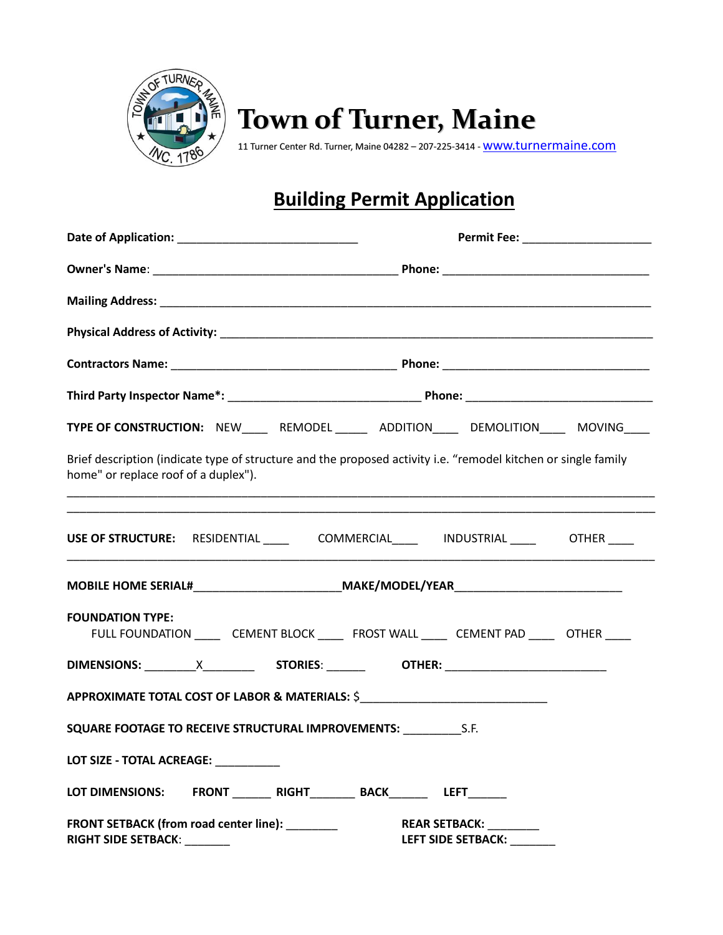

## **Town of Turner, Maine**

11 Turner Center Rd. Turner, Maine 04282 - 207-225-3414 - [www.turnermaine.com](http://www.turnermaine.com/)

## **Building Permit Application**

| TYPE OF CONSTRUCTION: NEW______ REMODEL _______ ADDITION______ DEMOLITION_____ MOVING____                                                              |                                                                                              |  |                                                             |  |
|--------------------------------------------------------------------------------------------------------------------------------------------------------|----------------------------------------------------------------------------------------------|--|-------------------------------------------------------------|--|
| Brief description (indicate type of structure and the proposed activity i.e. "remodel kitchen or single family<br>home" or replace roof of a duplex"). |                                                                                              |  | <u> 1989 - Johann Stoff, amerikansk politiker (d. 1989)</u> |  |
| USE OF STRUCTURE: RESIDENTIAL ___________COMMERCIAL___________INDUSTRIAL ___________OTHER _____                                                        |                                                                                              |  |                                                             |  |
| MOBILE HOME SERIAL#____________________________MAKE/MODEL/YEAR___________________                                                                      |                                                                                              |  |                                                             |  |
| <b>FOUNDATION TYPE:</b>                                                                                                                                | FULL FOUNDATION _______ CEMENT BLOCK _______ FROST WALL ______ CEMENT PAD ______ OTHER _____ |  |                                                             |  |
|                                                                                                                                                        |                                                                                              |  |                                                             |  |
| APPROXIMATE TOTAL COST OF LABOR & MATERIALS: \$__________________________________                                                                      |                                                                                              |  |                                                             |  |
| SQUARE FOOTAGE TO RECEIVE STRUCTURAL IMPROVEMENTS: ______________________________                                                                      |                                                                                              |  |                                                             |  |
| LOT SIZE - TOTAL ACREAGE:                                                                                                                              |                                                                                              |  |                                                             |  |
| LOT DIMENSIONS: FRONT RIGHT BACK LEFT                                                                                                                  |                                                                                              |  |                                                             |  |
| FRONT SETBACK (from road center line): ________<br><b>RIGHT SIDE SETBACK:</b> ________                                                                 |                                                                                              |  | REAR SETBACK: ________<br>LEFT SIDE SETBACK:                |  |